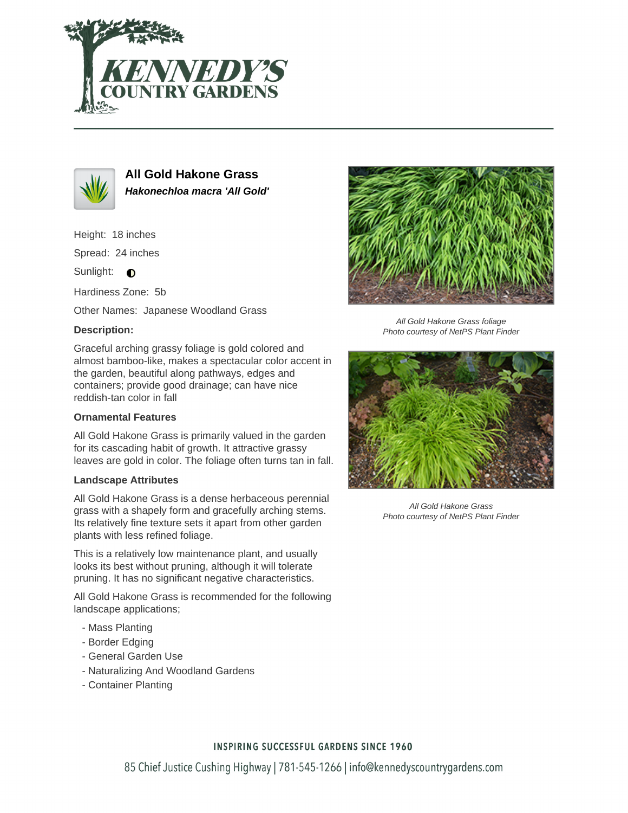



**All Gold Hakone Grass Hakonechloa macra 'All Gold'**

Height: 18 inches

Spread: 24 inches

Sunlight:  $\bigcirc$ 

Hardiness Zone: 5b

Other Names: Japanese Woodland Grass

# **Description:**

Graceful arching grassy foliage is gold colored and almost bamboo-like, makes a spectacular color accent in the garden, beautiful along pathways, edges and containers; provide good drainage; can have nice reddish-tan color in fall

## **Ornamental Features**

All Gold Hakone Grass is primarily valued in the garden for its cascading habit of growth. It attractive grassy leaves are gold in color. The foliage often turns tan in fall.

#### **Landscape Attributes**

All Gold Hakone Grass is a dense herbaceous perennial grass with a shapely form and gracefully arching stems. Its relatively fine texture sets it apart from other garden plants with less refined foliage.

This is a relatively low maintenance plant, and usually looks its best without pruning, although it will tolerate pruning. It has no significant negative characteristics.

All Gold Hakone Grass is recommended for the following landscape applications;

- Mass Planting
- Border Edging
- General Garden Use
- Naturalizing And Woodland Gardens
- Container Planting



All Gold Hakone Grass foliage Photo courtesy of NetPS Plant Finder



All Gold Hakone Grass Photo courtesy of NetPS Plant Finder

## **INSPIRING SUCCESSFUL GARDENS SINCE 1960**